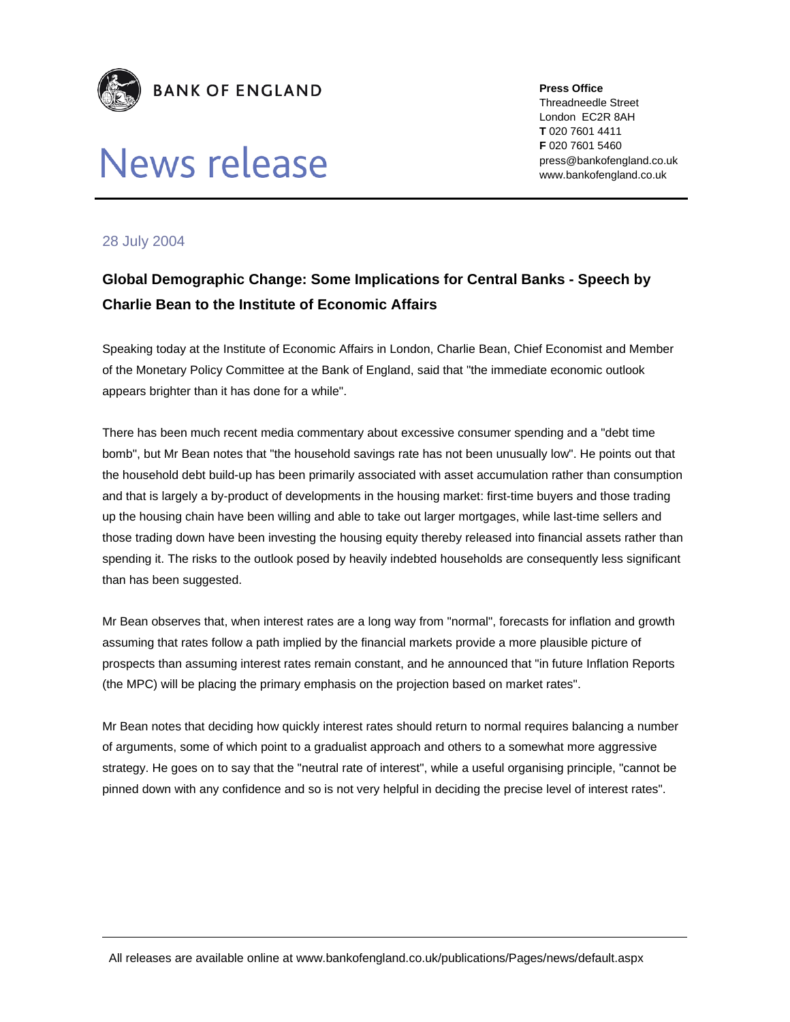

## News release

**Press Office**  Threadneedle Street London EC2R 8AH **T** 020 7601 4411 **F** 020 7601 5460 press@bankofengland.co.uk www.bankofengland.co.uk

## 28 July 2004

## **Global Demographic Change: Some Implications for Central Banks - Speech by Charlie Bean to the Institute of Economic Affairs**

Speaking today at the Institute of Economic Affairs in London, Charlie Bean, Chief Economist and Member of the Monetary Policy Committee at the Bank of England, said that "the immediate economic outlook appears brighter than it has done for a while".

There has been much recent media commentary about excessive consumer spending and a "debt time bomb", but Mr Bean notes that "the household savings rate has not been unusually low". He points out that the household debt build-up has been primarily associated with asset accumulation rather than consumption and that is largely a by-product of developments in the housing market: first-time buyers and those trading up the housing chain have been willing and able to take out larger mortgages, while last-time sellers and those trading down have been investing the housing equity thereby released into financial assets rather than spending it. The risks to the outlook posed by heavily indebted households are consequently less significant than has been suggested.

Mr Bean observes that, when interest rates are a long way from "normal", forecasts for inflation and growth assuming that rates follow a path implied by the financial markets provide a more plausible picture of prospects than assuming interest rates remain constant, and he announced that "in future Inflation Reports (the MPC) will be placing the primary emphasis on the projection based on market rates".

Mr Bean notes that deciding how quickly interest rates should return to normal requires balancing a number of arguments, some of which point to a gradualist approach and others to a somewhat more aggressive strategy. He goes on to say that the "neutral rate of interest", while a useful organising principle, "cannot be pinned down with any confidence and so is not very helpful in deciding the precise level of interest rates".